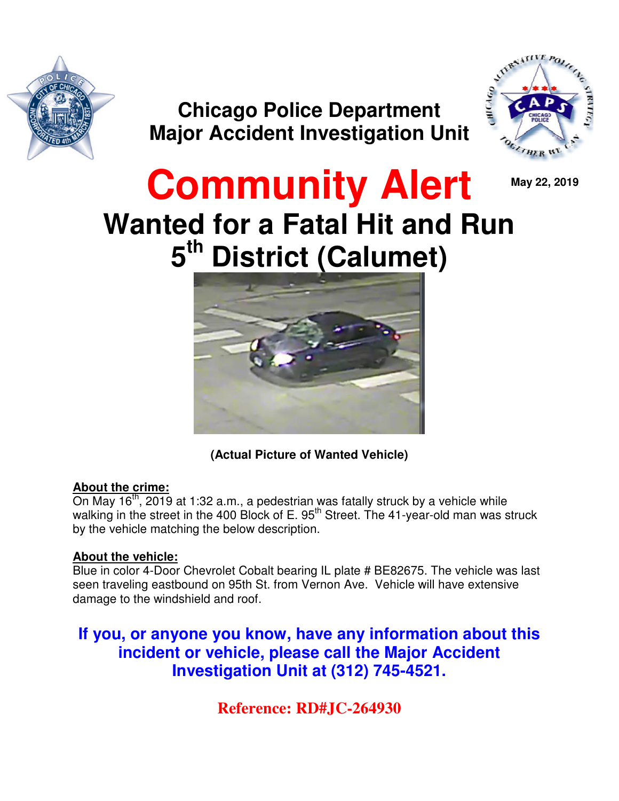

**Chicago Police Department Major Accident Investigation Unit** 



**May 22, 2019** 

# **Community Alert Wanted for a Fatal Hit and Run 5 th District (Calumet)**



**(Actual Picture of Wanted Vehicle)** 

### **About the crime:**

On May  $16<sup>th</sup>$ , 2019 at 1:32 a.m., a pedestrian was fatally struck by a vehicle while walking in the street in the 400 Block of E. 95<sup>th</sup> Street. The 41-year-old man was struck by the vehicle matching the below description.

### **About the vehicle:**

Blue in color 4-Door Chevrolet Cobalt bearing IL plate # BE82675. The vehicle was last seen traveling eastbound on 95th St. from Vernon Ave. Vehicle will have extensive damage to the windshield and roof.

**If you, or anyone you know, have any information about this incident or vehicle, please call the Major Accident Investigation Unit at (312) 745-4521.** 

**Reference: RD#JC-264930**